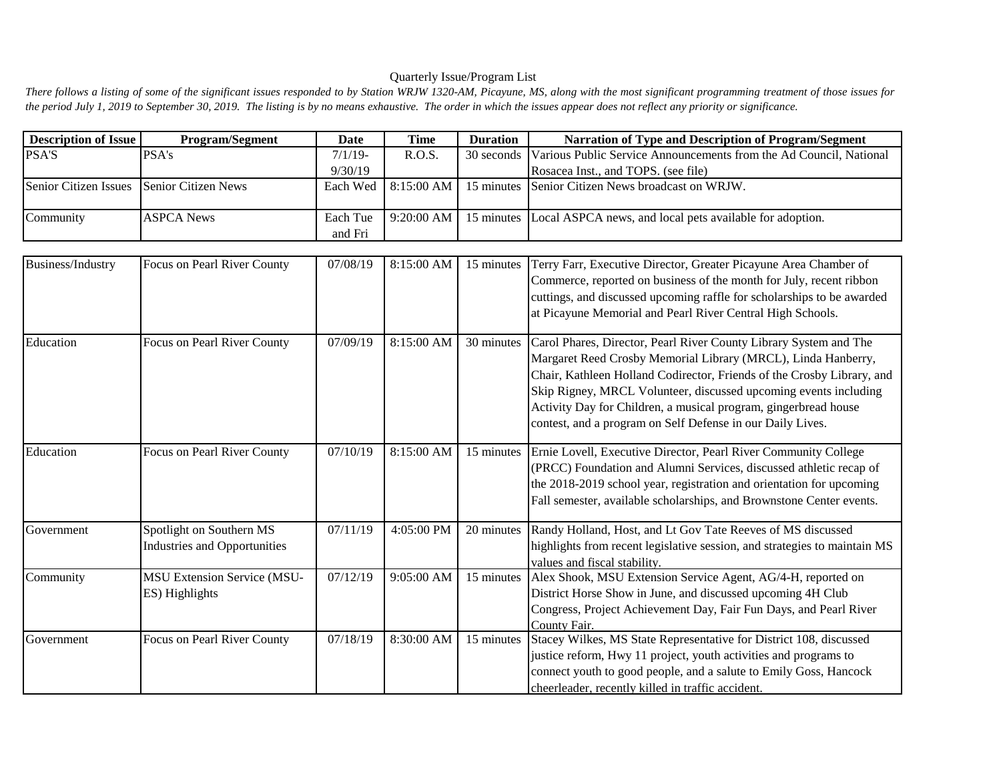## Quarterly Issue/Program List

There follows a listing of some of the significant issues responded to by Station WRJW 1320-AM, Picayune, MS, along with the most significant programming treatment of those issues for *the period July 1, 2019 to September 30, 2019. The listing is by no means exhaustive. The order in which the issues appear does not reflect any priority or significance.*

| <b>Description of Issue</b>               | <b>Program/Segment</b> | Date       | Time         | <b>Duration</b> | Narration of Type and Description of Program/Segment                          |
|-------------------------------------------|------------------------|------------|--------------|-----------------|-------------------------------------------------------------------------------|
| <b>PSA'S</b>                              | <b>PSA's</b>           | $7/1/19$ - | R.O.S.       |                 | 30 seconds Various Public Service Announcements from the Ad Council, National |
|                                           |                        | 9/30/19    |              |                 | Rosacea Inst., and TOPS. (see file)                                           |
| Senior Citizen Issues Senior Citizen News |                        |            |              |                 | Each Wed   8:15:00 AM   15 minutes   Senior Citizen News broadcast on WRJW.   |
| <b>Community</b>                          | <b>ASPCA News</b>      | Each Tue   | $9:20:00$ AM |                 | 15 minutes Local ASPCA news, and local pets available for adoption.           |
|                                           |                        | and Fri    |              |                 |                                                                               |

| <b>Business/Industry</b> | Focus on Pearl River County         | 07/08/19 | 8:15:00 AM | 15 minutes | Terry Farr, Executive Director, Greater Picayune Area Chamber of          |
|--------------------------|-------------------------------------|----------|------------|------------|---------------------------------------------------------------------------|
|                          |                                     |          |            |            | Commerce, reported on business of the month for July, recent ribbon       |
|                          |                                     |          |            |            | cuttings, and discussed upcoming raffle for scholarships to be awarded    |
|                          |                                     |          |            |            | at Picayune Memorial and Pearl River Central High Schools.                |
| Education                | Focus on Pearl River County         | 07/09/19 | 8:15:00 AM | 30 minutes | Carol Phares, Director, Pearl River County Library System and The         |
|                          |                                     |          |            |            | Margaret Reed Crosby Memorial Library (MRCL), Linda Hanberry,             |
|                          |                                     |          |            |            | Chair, Kathleen Holland Codirector, Friends of the Crosby Library, and    |
|                          |                                     |          |            |            | Skip Rigney, MRCL Volunteer, discussed upcoming events including          |
|                          |                                     |          |            |            | Activity Day for Children, a musical program, gingerbread house           |
|                          |                                     |          |            |            | contest, and a program on Self Defense in our Daily Lives.                |
|                          |                                     |          |            |            |                                                                           |
| Education                | Focus on Pearl River County         | 07/10/19 | 8:15:00 AM | 15 minutes | Ernie Lovell, Executive Director, Pearl River Community College           |
|                          |                                     |          |            |            | (PRCC) Foundation and Alumni Services, discussed athletic recap of        |
|                          |                                     |          |            |            | the 2018-2019 school year, registration and orientation for upcoming      |
|                          |                                     |          |            |            | Fall semester, available scholarships, and Brownstone Center events.      |
| Government               | Spotlight on Southern MS            | 07/11/19 | 4:05:00 PM | 20 minutes | Randy Holland, Host, and Lt Gov Tate Reeves of MS discussed               |
|                          | <b>Industries and Opportunities</b> |          |            |            | highlights from recent legislative session, and strategies to maintain MS |
|                          |                                     |          |            |            | values and fiscal stability.                                              |
| Community                | <b>MSU Extension Service (MSU-</b>  | 07/12/19 | 9:05:00 AM | 15 minutes | Alex Shook, MSU Extension Service Agent, AG/4-H, reported on              |
|                          | ES) Highlights                      |          |            |            | District Horse Show in June, and discussed upcoming 4H Club               |
|                          |                                     |          |            |            | Congress, Project Achievement Day, Fair Fun Days, and Pearl River         |
|                          |                                     |          |            |            | County Fair.                                                              |
| Government               | Focus on Pearl River County         | 07/18/19 | 8:30:00 AM | 15 minutes | Stacey Wilkes, MS State Representative for District 108, discussed        |
|                          |                                     |          |            |            | justice reform, Hwy 11 project, youth activities and programs to          |
|                          |                                     |          |            |            | connect youth to good people, and a salute to Emily Goss, Hancock         |
|                          |                                     |          |            |            | cheerleader, recently killed in traffic accident.                         |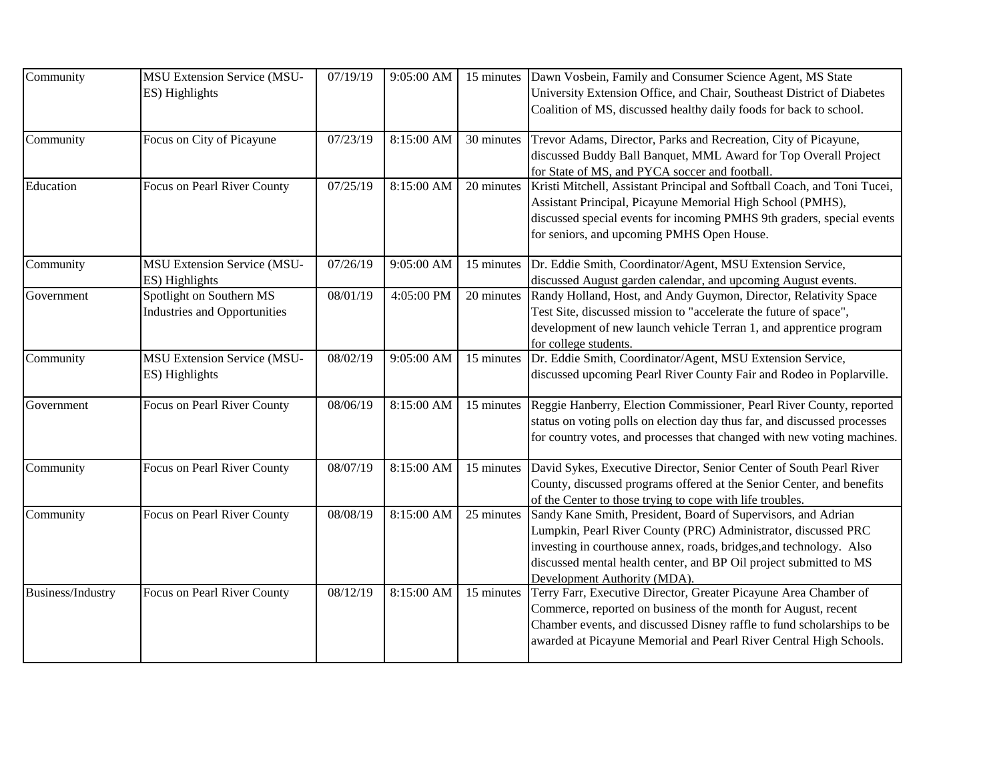| Community         | <b>MSU Extension Service (MSU-</b><br>ES) Highlights            | 07/19/19           | 9:05:00 AM | 15 minutes | Dawn Vosbein, Family and Consumer Science Agent, MS State<br>University Extension Office, and Chair, Southeast District of Diabetes<br>Coalition of MS, discussed healthy daily foods for back to school.                                                                                                    |
|-------------------|-----------------------------------------------------------------|--------------------|------------|------------|--------------------------------------------------------------------------------------------------------------------------------------------------------------------------------------------------------------------------------------------------------------------------------------------------------------|
| Community         | Focus on City of Picayune                                       | 07/23/19           | 8:15:00 AM | 30 minutes | Trevor Adams, Director, Parks and Recreation, City of Picayune,<br>discussed Buddy Ball Banquet, MML Award for Top Overall Project<br>for State of MS, and PYCA soccer and football.                                                                                                                         |
| Education         | Focus on Pearl River County                                     | 07/25/19           | 8:15:00 AM | 20 minutes | Kristi Mitchell, Assistant Principal and Softball Coach, and Toni Tucei,<br>Assistant Principal, Picayune Memorial High School (PMHS),<br>discussed special events for incoming PMHS 9th graders, special events<br>for seniors, and upcoming PMHS Open House.                                               |
| Community         | <b>MSU Extension Service (MSU-</b><br>ES) Highlights            | 07/26/19           | 9:05:00 AM | 15 minutes | Dr. Eddie Smith, Coordinator/Agent, MSU Extension Service,<br>discussed August garden calendar, and upcoming August events.                                                                                                                                                                                  |
| Government        | Spotlight on Southern MS<br><b>Industries and Opportunities</b> | $\frac{08}{01/19}$ | 4:05:00 PM | 20 minutes | Randy Holland, Host, and Andy Guymon, Director, Relativity Space<br>Test Site, discussed mission to "accelerate the future of space",<br>development of new launch vehicle Terran 1, and apprentice program<br>for college students.                                                                         |
| Community         | <b>MSU Extension Service (MSU-</b><br>ES) Highlights            | 08/02/19           | 9:05:00 AM | 15 minutes | Dr. Eddie Smith, Coordinator/Agent, MSU Extension Service,<br>discussed upcoming Pearl River County Fair and Rodeo in Poplarville.                                                                                                                                                                           |
| Government        | Focus on Pearl River County                                     | 08/06/19           | 8:15:00 AM | 15 minutes | Reggie Hanberry, Election Commissioner, Pearl River County, reported<br>status on voting polls on election day thus far, and discussed processes<br>for country votes, and processes that changed with new voting machines.                                                                                  |
| Community         | Focus on Pearl River County                                     | 08/07/19           | 8:15:00 AM | 15 minutes | David Sykes, Executive Director, Senior Center of South Pearl River<br>County, discussed programs offered at the Senior Center, and benefits<br>of the Center to those trying to cope with life troubles.                                                                                                    |
| Community         | Focus on Pearl River County                                     | 08/08/19           | 8:15:00 AM | 25 minutes | Sandy Kane Smith, President, Board of Supervisors, and Adrian<br>Lumpkin, Pearl River County (PRC) Administrator, discussed PRC<br>investing in courthouse annex, roads, bridges, and technology. Also<br>discussed mental health center, and BP Oil project submitted to MS<br>Development Authority (MDA). |
| Business/Industry | Focus on Pearl River County                                     | 08/12/19           | 8:15:00 AM | 15 minutes | Terry Farr, Executive Director, Greater Picayune Area Chamber of<br>Commerce, reported on business of the month for August, recent<br>Chamber events, and discussed Disney raffle to fund scholarships to be<br>awarded at Picayune Memorial and Pearl River Central High Schools.                           |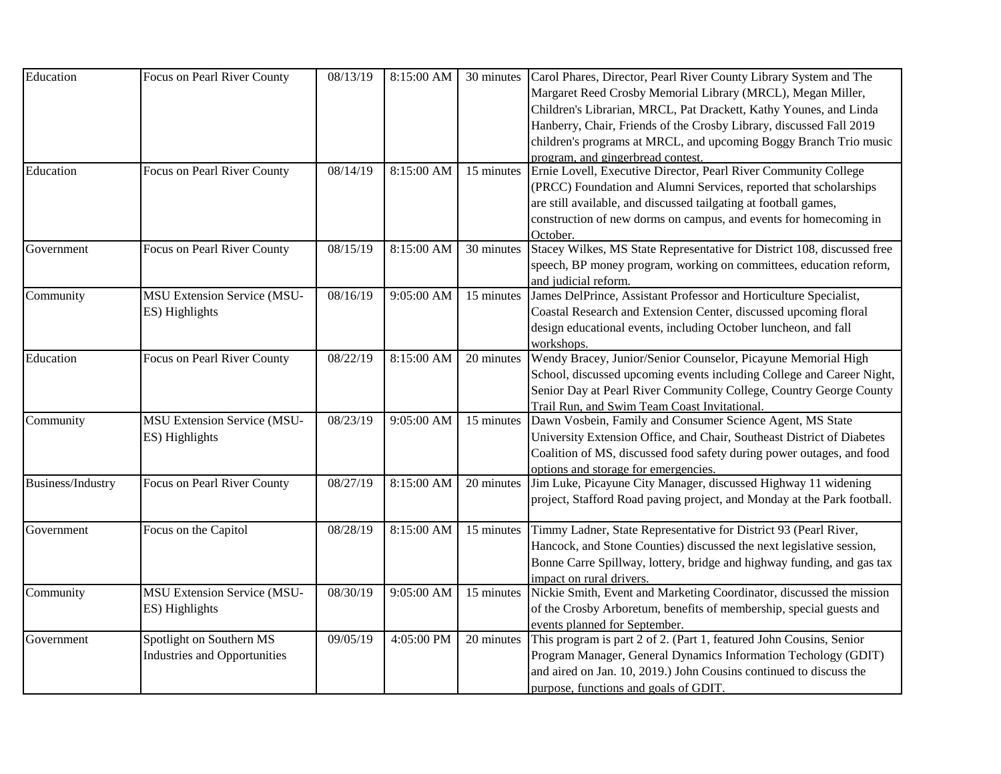| Education         | Focus on Pearl River County                                     | 08/13/19          | 8:15:00 AM   | 30 minutes | Carol Phares, Director, Pearl River County Library System and The<br>Margaret Reed Crosby Memorial Library (MRCL), Megan Miller,<br>Children's Librarian, MRCL, Pat Drackett, Kathy Younes, and Linda<br>Hanberry, Chair, Friends of the Crosby Library, discussed Fall 2019              |
|-------------------|-----------------------------------------------------------------|-------------------|--------------|------------|-------------------------------------------------------------------------------------------------------------------------------------------------------------------------------------------------------------------------------------------------------------------------------------------|
|                   |                                                                 |                   |              |            | children's programs at MRCL, and upcoming Boggy Branch Trio music<br>program, and gingerbread contest.                                                                                                                                                                                    |
| Education         | Focus on Pearl River County                                     | 08/14/19          | 8:15:00 AM   | 15 minutes | Ernie Lovell, Executive Director, Pearl River Community College<br>(PRCC) Foundation and Alumni Services, reported that scholarships<br>are still available, and discussed tailgating at football games,<br>construction of new dorms on campus, and events for homecoming in<br>October. |
| Government        | Focus on Pearl River County                                     | 08/15/19          | 8:15:00 AM   | 30 minutes | Stacey Wilkes, MS State Representative for District 108, discussed free<br>speech, BP money program, working on committees, education reform,<br>and judicial reform.                                                                                                                     |
| Community         | <b>MSU Extension Service (MSU-</b><br>ES) Highlights            | 08/16/19          | 9:05:00 AM   | 15 minutes | James DelPrince, Assistant Professor and Horticulture Specialist,<br>Coastal Research and Extension Center, discussed upcoming floral<br>design educational events, including October luncheon, and fall<br>workshops.                                                                    |
| Education         | Focus on Pearl River County                                     | $\sqrt{08}/22/19$ | 8:15:00 AM   | 20 minutes | Wendy Bracey, Junior/Senior Counselor, Picayune Memorial High<br>School, discussed upcoming events including College and Career Night,<br>Senior Day at Pearl River Community College, Country George County<br>Trail Run, and Swim Team Coast Invitational.                              |
| Community         | <b>MSU Extension Service (MSU-</b><br>ES) Highlights            | 08/23/19          | 9:05:00 AM   | 15 minutes | Dawn Vosbein, Family and Consumer Science Agent, MS State<br>University Extension Office, and Chair, Southeast District of Diabetes<br>Coalition of MS, discussed food safety during power outages, and food<br>options and storage for emergencies.                                      |
| Business/Industry | Focus on Pearl River County                                     | 08/27/19          | 8:15:00 AM   | 20 minutes | Jim Luke, Picayune City Manager, discussed Highway 11 widening<br>project, Stafford Road paving project, and Monday at the Park football.                                                                                                                                                 |
| Government        | Focus on the Capitol                                            | 08/28/19          | 8:15:00 AM   | 15 minutes | Timmy Ladner, State Representative for District 93 (Pearl River,<br>Hancock, and Stone Counties) discussed the next legislative session,<br>Bonne Carre Spillway, lottery, bridge and highway funding, and gas tax<br>impact on rural drivers.                                            |
| Community         | <b>MSU Extension Service (MSU-</b><br>ES) Highlights            | 08/30/19          | $9:05:00$ AM | 15 minutes | Nickie Smith, Event and Marketing Coordinator, discussed the mission<br>of the Crosby Arboretum, benefits of membership, special guests and<br>events planned for September.                                                                                                              |
| Government        | Spotlight on Southern MS<br><b>Industries and Opportunities</b> | 09/05/19          | 4:05:00 PM   | 20 minutes | This program is part 2 of 2. (Part 1, featured John Cousins, Senior<br>Program Manager, General Dynamics Information Techology (GDIT)<br>and aired on Jan. 10, 2019.) John Cousins continued to discuss the<br>purpose, functions and goals of GDIT.                                      |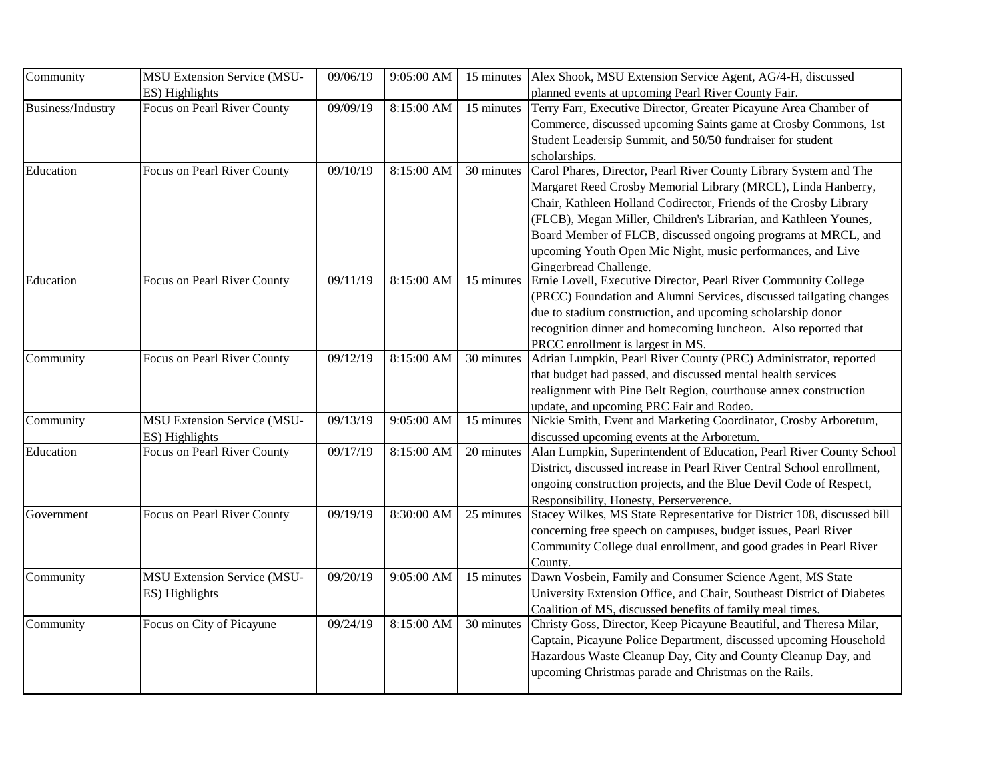| Community         | <b>MSU Extension Service (MSU-</b> | 09/06/19 | 9:05:00 AM | 15 minutes | Alex Shook, MSU Extension Service Agent, AG/4-H, discussed              |
|-------------------|------------------------------------|----------|------------|------------|-------------------------------------------------------------------------|
|                   | ES) Highlights                     |          |            |            | planned events at upcoming Pearl River County Fair.                     |
| Business/Industry | Focus on Pearl River County        | 09/09/19 | 8:15:00 AM | 15 minutes | Terry Farr, Executive Director, Greater Picayune Area Chamber of        |
|                   |                                    |          |            |            | Commerce, discussed upcoming Saints game at Crosby Commons, 1st         |
|                   |                                    |          |            |            | Student Leadersip Summit, and 50/50 fundraiser for student              |
|                   |                                    |          |            |            | scholarships.                                                           |
| Education         | Focus on Pearl River County        | 09/10/19 | 8:15:00 AM | 30 minutes | Carol Phares, Director, Pearl River County Library System and The       |
|                   |                                    |          |            |            | Margaret Reed Crosby Memorial Library (MRCL), Linda Hanberry,           |
|                   |                                    |          |            |            | Chair, Kathleen Holland Codirector, Friends of the Crosby Library       |
|                   |                                    |          |            |            | (FLCB), Megan Miller, Children's Librarian, and Kathleen Younes,        |
|                   |                                    |          |            |            | Board Member of FLCB, discussed ongoing programs at MRCL, and           |
|                   |                                    |          |            |            | upcoming Youth Open Mic Night, music performances, and Live             |
|                   |                                    |          |            |            | Gingerbread Challenge.                                                  |
| Education         | Focus on Pearl River County        | 09/11/19 | 8:15:00 AM | 15 minutes | Ernie Lovell, Executive Director, Pearl River Community College         |
|                   |                                    |          |            |            | (PRCC) Foundation and Alumni Services, discussed tailgating changes     |
|                   |                                    |          |            |            | due to stadium construction, and upcoming scholarship donor             |
|                   |                                    |          |            |            | recognition dinner and homecoming luncheon. Also reported that          |
|                   |                                    |          |            |            | PRCC enrollment is largest in MS.                                       |
| Community         | Focus on Pearl River County        | 09/12/19 | 8:15:00 AM | 30 minutes | Adrian Lumpkin, Pearl River County (PRC) Administrator, reported        |
|                   |                                    |          |            |            | that budget had passed, and discussed mental health services            |
|                   |                                    |          |            |            | realignment with Pine Belt Region, courthouse annex construction        |
|                   |                                    |          |            |            | update, and upcoming PRC Fair and Rodeo.                                |
| Community         | <b>MSU Extension Service (MSU-</b> | 09/13/19 | 9:05:00 AM | 15 minutes | Nickie Smith, Event and Marketing Coordinator, Crosby Arboretum,        |
|                   | ES) Highlights                     |          |            |            | discussed upcoming events at the Arboretum.                             |
| Education         | Focus on Pearl River County        | 09/17/19 | 8:15:00 AM | 20 minutes | Alan Lumpkin, Superintendent of Education, Pearl River County School    |
|                   |                                    |          |            |            | District, discussed increase in Pearl River Central School enrollment,  |
|                   |                                    |          |            |            | ongoing construction projects, and the Blue Devil Code of Respect,      |
|                   |                                    |          |            |            | Responsibility, Honesty, Perserverence.                                 |
| Government        | Focus on Pearl River County        | 09/19/19 | 8:30:00 AM | 25 minutes | Stacey Wilkes, MS State Representative for District 108, discussed bill |
|                   |                                    |          |            |            | concerning free speech on campuses, budget issues, Pearl River          |
|                   |                                    |          |            |            | Community College dual enrollment, and good grades in Pearl River       |
|                   |                                    |          |            |            | County.                                                                 |
| Community         | MSU Extension Service (MSU-        | 09/20/19 | 9:05:00 AM | 15 minutes | Dawn Vosbein, Family and Consumer Science Agent, MS State               |
|                   | ES) Highlights                     |          |            |            | University Extension Office, and Chair, Southeast District of Diabetes  |
|                   |                                    |          |            |            | Coalition of MS, discussed benefits of family meal times.               |
| Community         | Focus on City of Picayune          | 09/24/19 | 8:15:00 AM | 30 minutes | Christy Goss, Director, Keep Picayune Beautiful, and Theresa Milar,     |
|                   |                                    |          |            |            | Captain, Picayune Police Department, discussed upcoming Household       |
|                   |                                    |          |            |            | Hazardous Waste Cleanup Day, City and County Cleanup Day, and           |
|                   |                                    |          |            |            | upcoming Christmas parade and Christmas on the Rails.                   |
|                   |                                    |          |            |            |                                                                         |